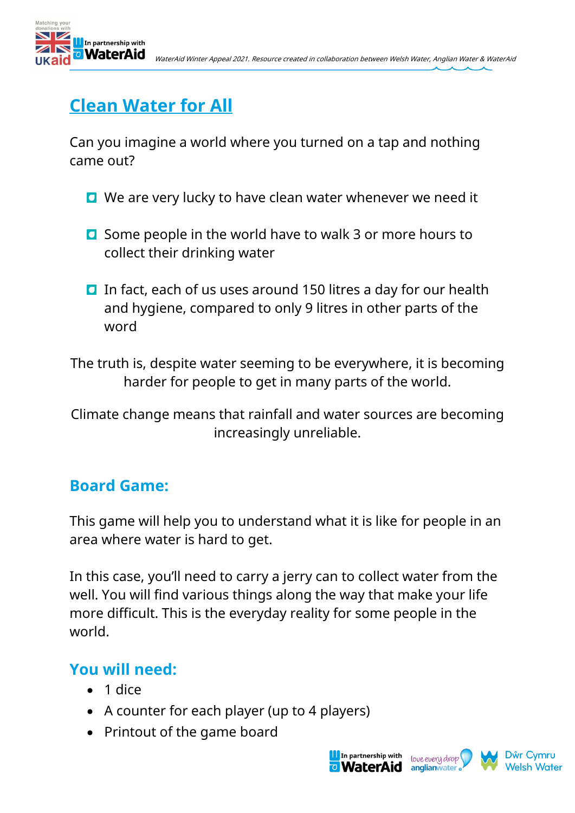



## **Clean Water for All**

Can you imagine a world where you turned on a tap and nothing came out?

- **Q** We are very lucky to have clean water whenever we need it
- **O** Some people in the world have to walk 3 or more hours to collect their drinking water
- In fact, each of us uses around 150 litres a day for our health and hygiene, compared to only 9 litres in other parts of the word

The truth is, despite water seeming to be everywhere, it is becoming harder for people to get in many parts of the world.

Climate change means that rainfall and water sources are becoming increasingly unreliable.

## **Board Game:**

This game will help you to understand what it is like for people in an area where water is hard to get.

In this case, you'll need to carry a jerry can to collect water from the well. You will find various things along the way that make your life more difficult. This is the everyday reality for some people in the world.

## **You will need:**

- 1 dice
- A counter for each player (up to 4 players)
- Printout of the game board